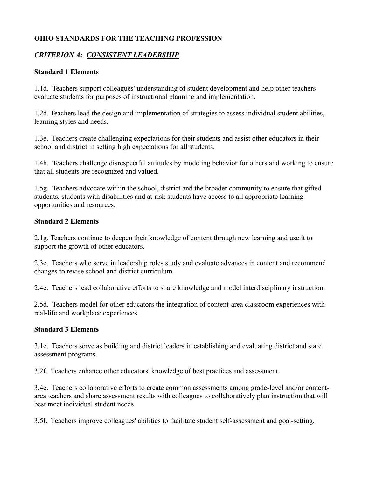## **OHIO STANDARDS FOR THE TEACHING PROFESSION**

## *CRITERION A: CONSISTENT LEADERSHIP*

### **Standard 1 Elements**

1.1d. Teachers support colleagues' understanding of student development and help other teachers evaluate students for purposes of instructional planning and implementation.

1.2d. Teachers lead the design and implementation of strategies to assess individual student abilities, learning styles and needs.

1.3e. Teachers create challenging expectations for their students and assist other educators in their school and district in setting high expectations for all students.

1.4h. Teachers challenge disrespectful attitudes by modeling behavior for others and working to ensure that all students are recognized and valued.

1.5g. Teachers advocate within the school, district and the broader community to ensure that gifted students, students with disabilities and at-risk students have access to all appropriate learning opportunities and resources.

#### **Standard 2 Elements**

2.1g. Teachers continue to deepen their knowledge of content through new learning and use it to support the growth of other educators.

2.3c. Teachers who serve in leadership roles study and evaluate advances in content and recommend changes to revise school and district curriculum.

2.4e. Teachers lead collaborative efforts to share knowledge and model interdisciplinary instruction.

2.5d. Teachers model for other educators the integration of content-area classroom experiences with real-life and workplace experiences.

#### **Standard 3 Elements**

3.1e. Teachers serve as building and district leaders in establishing and evaluating district and state assessment programs.

3.2f. Teachers enhance other educators' knowledge of best practices and assessment.

3.4e. Teachers collaborative efforts to create common assessments among grade-level and/or contentarea teachers and share assessment results with colleagues to collaboratively plan instruction that will best meet individual student needs.

3.5f. Teachers improve colleagues' abilities to facilitate student self-assessment and goal-setting.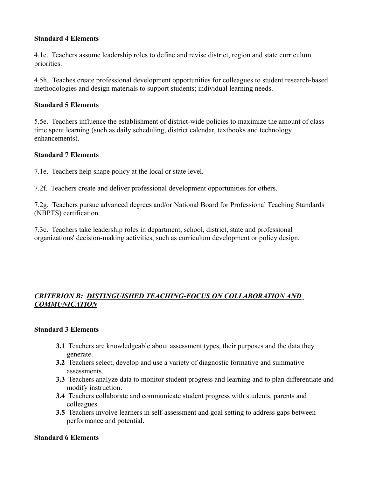#### **Standard 4 Elements**

4.1e. Teachers assume leadership roles to define and revise district, region and state curriculum priorities.

4.5h. Teaches create professional development opportunities for colleagues to student research-based methodologies and design materials to support students; individual learning needs.

#### **Standard 5 Elements**

5.5e. Teachers influence the establishment of district-wide policies to maximize the amount of class time spent learning (such as daily scheduling, district calendar, textbooks and technology enhancements).

#### **Standard 7 Elements**

7.1e. Teachers help shape policy at the local or state level.

7.2f. Teachers create and deliver professional development opportunities for others.

7.2g. Teachers pursue advanced degrees and/or National Board for Professional Teaching Standards (NBPTS) certification.

7.3c. Teachers take leadership roles in department, school, district, state and professional organizations' decision-making activities, such as curriculum development or policy design.

## *CRITERION B: DISTINGUISHED TEACHING-FOCUS ON COLLABORATION AND COMMUNICATION*

### **Standard 3 Elements**

- **3.1** Teachers are knowledgeable about assessment types, their purposes and the data they generate.
- **3.2** Teachers select, develop and use a variety of diagnostic formative and summative assessments.
- **3.3** Teachers analyze data to monitor student progress and learning and to plan differentiate and modify instruction.
- **3.4** Teachers collaborate and communicate student progress with students, parents and colleagues.
- **3.5** Teachers involve learners in self-assessment and goal setting to address gaps between performance and potential.

#### **Standard 6 Elements**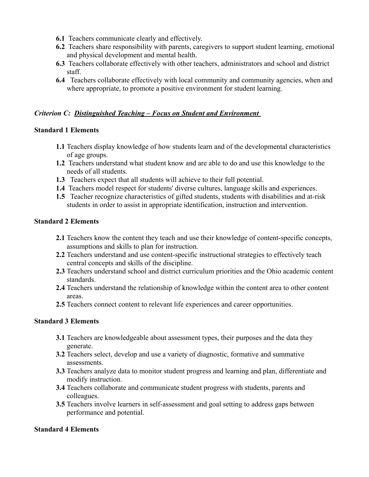- **6.1** Teachers communicate clearly and effectively.
- **6.2** Teachers share responsibility with parents, caregivers to support student learning, emotional and physical development and mental health.
- **6.3** Teachers collaborate effectively with other teachers, administrators and school and district staff.
- **6.4** Teachers collaborate effectively with local community and community agencies, when and where appropriate, to promote a positive environment for student learning.

### *Criterion C: Distinguished Teaching – Focus on Student and Environment*

### **Standard 1 Elements**

- **1.1** Teachers display knowledge of how students learn and of the developmental characteristics of age groups.
- **1.2** Teachers understand what student know and are able to do and use this knowledge to the needs of all students.
- **1.3** Teachers expect that all students will achieve to their full potential.
- **1.4** Teachers model respect for students' diverse cultures, language skills and experiences.
- **1.5** Teacher recognize characteristics of gifted students, students with disabilities and at-risk students in order to assist in appropriate identification, instruction and intervention.

## **Standard 2 Elements**

- **2.1** Teachers know the content they teach and use their knowledge of content-specific concepts, assumptions and skills to plan for instruction.
- **2.2** Teachers understand and use content-specific instructional strategies to effectively teach central concepts and skills of the discipline.
- **2.3** Teachers understand school and district curriculum priorities and the Ohio academic content standards.
- **2.4** Teachers understand the relationship of knowledge within the content area to other content areas.
- **2.5** Teachers connect content to relevant life experiences and career opportunities.

# **Standard 3 Elements**

- **3.1** Teachers are knowledgeable about assessment types, their purposes and the data they generate.
- **3.2** Teachers select, develop and use a variety of diagnostic, formative and summative assessments.
- **3.3** Teachers analyze data to monitor student progress and learning and plan, differentiate and modify instruction.
- **3.4** Teachers collaborate and communicate student progress with students, parents and colleagues.
- **3.5** Teachers involve learners in self-assessment and goal setting to address gaps between performance and potential.

# **Standard 4 Elements**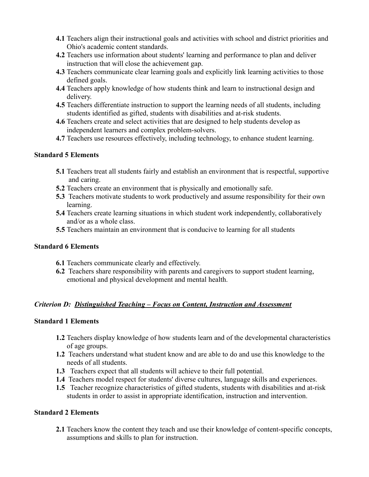- **4.1** Teachers align their instructional goals and activities with school and district priorities and Ohio's academic content standards.
- **4.2** Teachers use information about students' learning and performance to plan and deliver instruction that will close the achievement gap.
- **4.3** Teachers communicate clear learning goals and explicitly link learning activities to those defined goals.
- **4.4** Teachers apply knowledge of how students think and learn to instructional design and delivery.
- **4.5** Teachers differentiate instruction to support the learning needs of all students, including students identified as gifted, students with disabilities and at-risk students.
- **4.6** Teachers create and select activities that are designed to help students develop as independent learners and complex problem-solvers.
- **4.7** Teachers use resources effectively, including technology, to enhance student learning.

#### **Standard 5 Elements**

- **5.1** Teachers treat all students fairly and establish an environment that is respectful, supportive and caring.
- **5.2** Teachers create an environment that is physically and emotionally safe.
- **5.3** Teachers motivate students to work productively and assume responsibility for their own learning.
- **5.4** Teachers create learning situations in which student work independently, collaboratively and/or as a whole class.
- **5.5** Teachers maintain an environment that is conducive to learning for all students

#### **Standard 6 Elements**

- **6.1** Teachers communicate clearly and effectively.
- **6.2** Teachers share responsibility with parents and caregivers to support student learning, emotional and physical development and mental health.

### *Criterion D: Distinguished Teaching – Focus on Content, Instruction and Assessment*

#### **Standard 1 Elements**

- **1.2** Teachers display knowledge of how students learn and of the developmental characteristics of age groups.
- **1.2** Teachers understand what student know and are able to do and use this knowledge to the needs of all students.
- **1.3** Teachers expect that all students will achieve to their full potential.
- **1.4** Teachers model respect for students' diverse cultures, language skills and experiences.
- **1.5** Teacher recognize characteristics of gifted students, students with disabilities and at-risk students in order to assist in appropriate identification, instruction and intervention.

# **Standard 2 Elements**

**2.1** Teachers know the content they teach and use their knowledge of content-specific concepts, assumptions and skills to plan for instruction.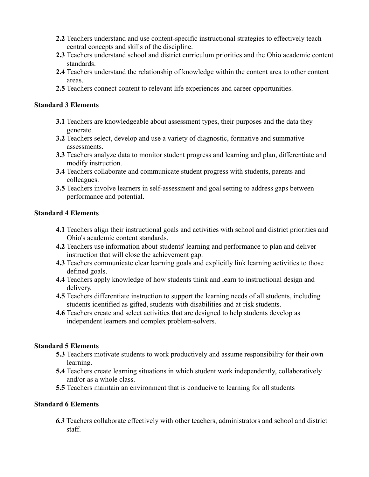- **2.2** Teachers understand and use content-specific instructional strategies to effectively teach central concepts and skills of the discipline.
- **2.3** Teachers understand school and district curriculum priorities and the Ohio academic content standards.
- **2.4** Teachers understand the relationship of knowledge within the content area to other content areas.
- **2.5** Teachers connect content to relevant life experiences and career opportunities.

### **Standard 3 Elements**

- **3.1** Teachers are knowledgeable about assessment types, their purposes and the data they generate.
- **3.2** Teachers select, develop and use a variety of diagnostic, formative and summative assessments.
- **3.3** Teachers analyze data to monitor student progress and learning and plan, differentiate and modify instruction.
- **3.4** Teachers collaborate and communicate student progress with students, parents and colleagues.
- **3.5** Teachers involve learners in self-assessment and goal setting to address gaps between performance and potential.

## **Standard 4 Elements**

- **4.1** Teachers align their instructional goals and activities with school and district priorities and Ohio's academic content standards.
- **4.2** Teachers use information about students' learning and performance to plan and deliver instruction that will close the achievement gap.
- **4.3** Teachers communicate clear learning goals and explicitly link learning activities to those defined goals.
- **4.4** Teachers apply knowledge of how students think and learn to instructional design and delivery.
- **4.5** Teachers differentiate instruction to support the learning needs of all students, including students identified as gifted, students with disabilities and at-risk students.
- **4.6** Teachers create and select activities that are designed to help students develop as independent learners and complex problem-solvers.

# **Standard 5 Elements**

- **5.3** Teachers motivate students to work productively and assume responsibility for their own learning.
- **5.4** Teachers create learning situations in which student work independently, collaboratively and/or as a whole class.
- **5.5** Teachers maintain an environment that is conducive to learning for all students

# **Standard 6 Elements**

*6.3* Teachers collaborate effectively with other teachers, administrators and school and district staff.